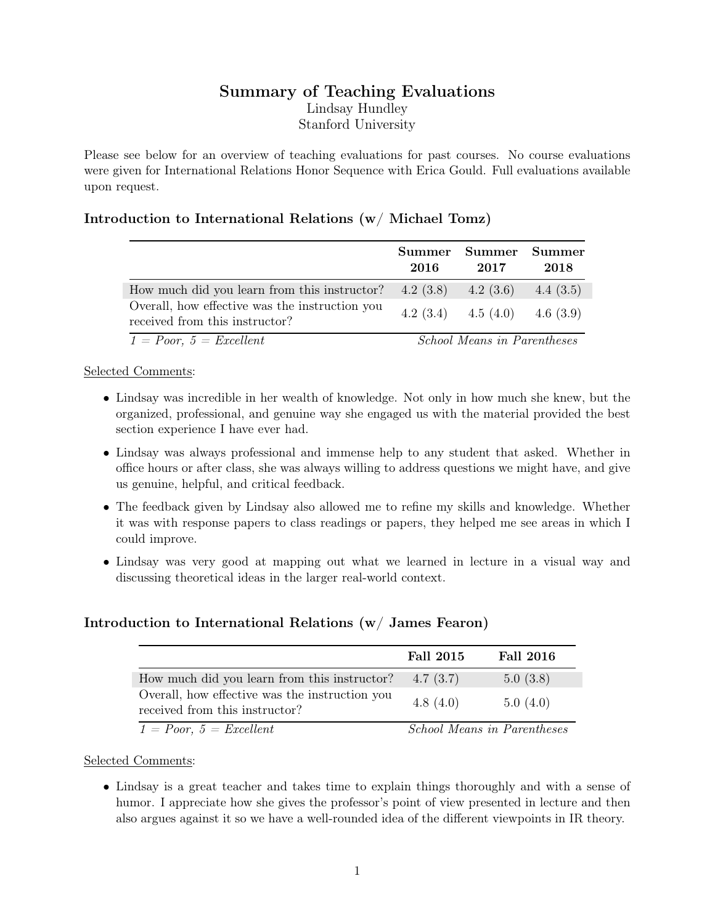# Summary of Teaching Evaluations Lindsay Hundley Stanford University

Please see below for an overview of teaching evaluations for past courses. No course evaluations were given for International Relations Honor Sequence with Erica Gould. Full evaluations available upon request.

## Introduction to International Relations (w/ Michael Tomz)

|                                                                                  | 2016 | Summer Summer Summer<br>2017       | 2018        |
|----------------------------------------------------------------------------------|------|------------------------------------|-------------|
| How much did you learn from this instructor?                                     |      | $4.2(3.8)$ $4.2(3.6)$              | 4.4 $(3.5)$ |
| Overall, how effective was the instruction you<br>received from this instructor? |      | 4.2 (3.4) 4.5 (4.0) 4.6 (3.9)      |             |
| $1 = Poor, 5 = Excelent$                                                         |      | <b>School Means in Parentheses</b> |             |

#### Selected Comments:

- Lindsay was incredible in her wealth of knowledge. Not only in how much she knew, but the organized, professional, and genuine way she engaged us with the material provided the best section experience I have ever had.
- Lindsay was always professional and immense help to any student that asked. Whether in office hours or after class, she was always willing to address questions we might have, and give us genuine, helpful, and critical feedback.
- The feedback given by Lindsay also allowed me to refine my skills and knowledge. Whether it was with response papers to class readings or papers, they helped me see areas in which I could improve.
- Lindsay was very good at mapping out what we learned in lecture in a visual way and discussing theoretical ideas in the larger real-world context.

### Introduction to International Relations (w/ James Fearon)

|                                                                                  | <b>Fall 2015</b> | <b>Fall 2016</b>                   |
|----------------------------------------------------------------------------------|------------------|------------------------------------|
| How much did you learn from this instructor?                                     | 4.7(3.7)         | 5.0(3.8)                           |
| Overall, how effective was the instruction you<br>received from this instructor? | 4.8(4.0)         | 5.0(4.0)                           |
| $1 = Poor, 5 = Excellent$                                                        |                  | <b>School Means in Parentheses</b> |

#### Selected Comments:

• Lindsay is a great teacher and takes time to explain things thoroughly and with a sense of humor. I appreciate how she gives the professor's point of view presented in lecture and then also argues against it so we have a well-rounded idea of the different viewpoints in IR theory.